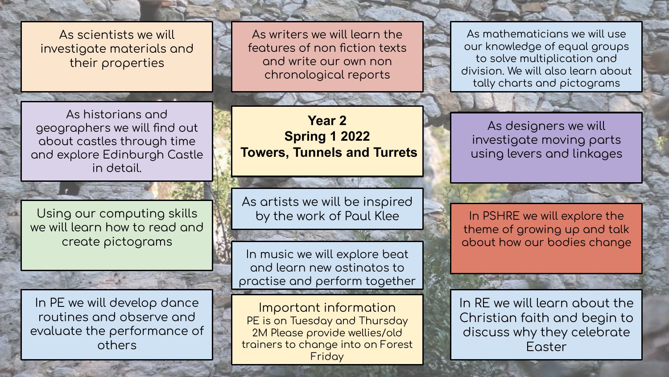As scientists we will investigate materials and their properties

As writers we will learn the features of non fiction texts and write our own non chronological reports

As historians and geographers we will find out about castles through time and explore Edinburgh Castle in detail.

Using our computing skills we will learn how to read and create pictograms

In PE we will develop dance routines and observe and evaluate the performance of others

**Year 2 Spring 1 2022 Towers, Tunnels and Turrets**

As artists we will be inspired by the work of Paul Klee

In music we will explore beat and learn new ostinatos to practise and perform together

Important information PE is on Tuesday and Thursday 2M Please provide wellies/old trainers to change into on Forest Friday

As mathematicians we will use our knowledge of equal groups to solve multiplication and division. We will also learn about tally charts and pictograms

As designers we will investiqate moving parts using levers and linkages

In PSHRE we will explore the theme of growing up and talk about how our bodies change

In RE we will learn about the Christian faith and begin to discuss why they celebrate Easter